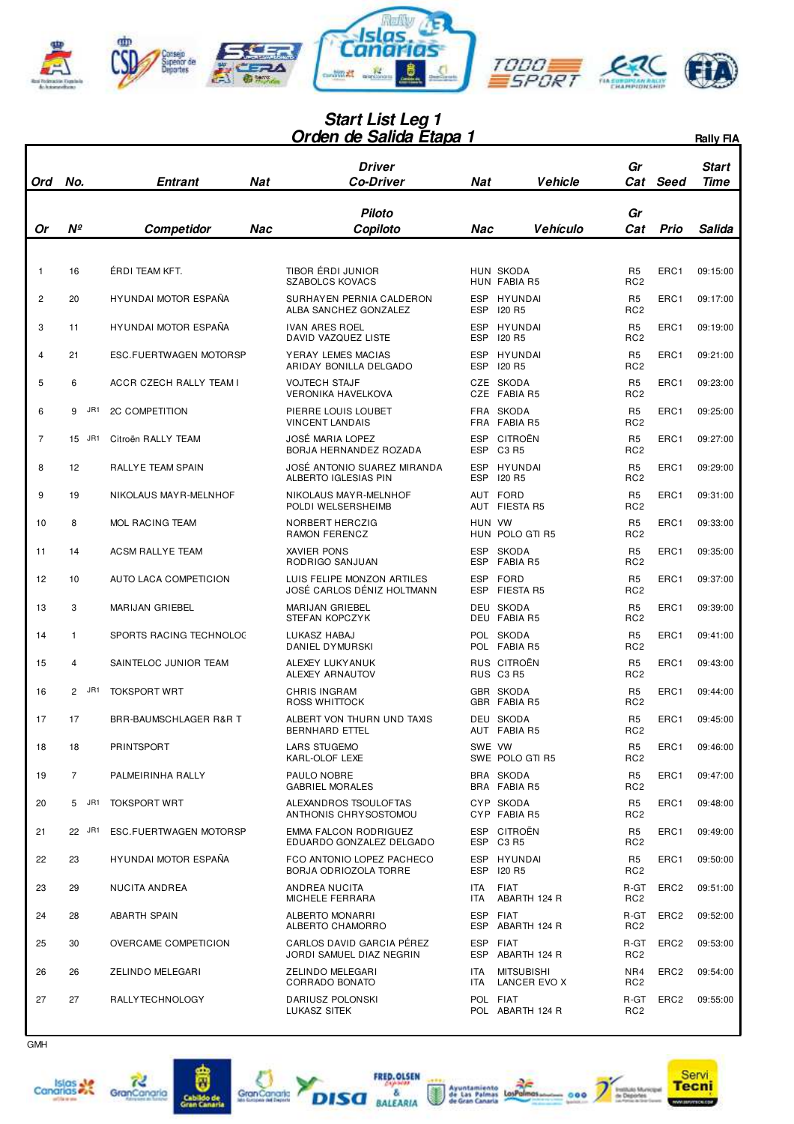

## **Orden de Salida Etapa 1 Start List Leg 1**

|                |                         |                                                      |            | <u> Urden de Salida Etapa 1</u>                                                |                          |                                        |                                                     |                  | <b>Rally FIA</b>     |
|----------------|-------------------------|------------------------------------------------------|------------|--------------------------------------------------------------------------------|--------------------------|----------------------------------------|-----------------------------------------------------|------------------|----------------------|
| Ord            | No.                     | Entrant                                              | <b>Nat</b> | Driver<br>Co-Driver                                                            | Nat                      | <b>Vehicle</b>                         | Gr<br>Cat                                           | Seed             | Start<br>Time        |
| Or             | $N^{\circ}$             | <b>Competidor</b>                                    | Nac        | <b>Piloto</b><br>Copiloto                                                      | Nac                      | Vehículo                               | Gr<br>Cat                                           | Prio             | Salida               |
| $\mathbf{1}$   | 16                      | ÉRDI TEAM KFT.                                       |            | TIBOR ÉRDI JUNIOR<br><b>SZABOLCS KOVACS</b>                                    |                          | HUN SKODA<br>HUN FABIA R5              | R <sub>5</sub><br>RC <sub>2</sub>                   | ERC1             | 09:15:00             |
| $\overline{2}$ | 20                      | HYUNDAI MOTOR ESPAÑA                                 |            | SURHAYEN PERNIA CALDERON<br>ALBA SANCHEZ GONZALEZ                              | <b>ESP</b><br>ESP        | HYUNDAI<br><b>I20 R5</b>               | R <sub>5</sub><br>RC <sub>2</sub>                   | ERC1             | 09:17:00             |
| 3              | 11                      | HYUNDAI MOTOR ESPAÑA                                 |            | <b>IVAN ARES ROEL</b><br>DAVID VAZQUEZ LISTE                                   | <b>ESP</b><br><b>ESP</b> | HYUNDAI<br>120 R5                      | R <sub>5</sub><br>RC <sub>2</sub>                   | ERC1             | 09:19:00             |
| 4              | 21                      | ESC.FUERTWAGEN MOTORSP                               |            | YERAY LEMES MACIAS<br>ARIDAY BONILLA DELGADO                                   | <b>ESP</b>               | ESP HYUNDAI<br>120 R5                  | R <sub>5</sub><br>RC <sub>2</sub>                   | ERC1             | 09:21:00             |
| 5              | 6                       | ACCR CZECH RALLY TEAM I                              |            | <b>VOJTECH STAJF</b><br><b>VERONIKA HAVELKOVA</b>                              |                          | CZE SKODA<br>CZE FABIA R5              | R <sub>5</sub><br>RC <sub>2</sub>                   | ERC1             | 09:23:00             |
| 6              | 9<br>JR1                | <b>2C COMPETITION</b>                                |            | PIERRE LOUIS LOUBET<br><b>VINCENT LANDAIS</b>                                  |                          | FRA SKODA<br>FRA FABIA R5              | R <sub>5</sub><br>RC <sub>2</sub>                   | ERC1             | 09:25:00             |
| 7              | 15 JR1                  | Citroën RALLY TEAM                                   |            | <b>JOSÉ MARIA LOPEZ</b><br>BORJA HERNANDEZ ROZADA                              | <b>ESP</b>               | CITROËN<br>ESP C3 R5                   | R <sub>5</sub><br>RC <sub>2</sub>                   | ERC1             | 09:27:00             |
| 8              | 12                      | <b>RALLYE TEAM SPAIN</b>                             |            | JOSÉ ANTONIO SUAREZ MIRANDA<br>ALBERTO IGLESIAS PIN                            | <b>ESP</b>               | ESP HYUNDAI<br><b>120 R5</b>           | R <sub>5</sub><br>RC <sub>2</sub>                   | ERC1             | 09:29:00             |
| 9              | 19                      | NIKOLAUS MAY R-MELNHOF                               |            | NIKOLAUS MAYR-MELNHOF<br>POLDI WELSERSHEIMB                                    |                          | AUT FORD<br>AUT FIESTA R5              | R <sub>5</sub><br>RC <sub>2</sub>                   | ERC1             | 09:31:00             |
| 10             | 8                       | MOL RACING TEAM                                      |            | NORBERT HERCZIG<br>RAMON FERENCZ                                               | HUN VW                   | HUN POLO GTI R5                        | R <sub>5</sub><br>RC <sub>2</sub>                   | ERC1             | 09:33:00             |
| 11             | 14                      | <b>ACSM RALLYE TEAM</b>                              |            | XAVIER PONS<br>RODRIGO SANJUAN                                                 | <b>ESP</b><br><b>ESP</b> | <b>SKODA</b><br><b>FABIA R5</b>        | R <sub>5</sub><br>RC <sub>2</sub>                   | ERC1             | 09:35:00             |
| 12             | 10                      | AUTO LACA COMPETICION                                |            | LUIS FELIPE MONZON ARTILES<br>JOSÉ CARLOS DÉNIZ HOLTMANN                       | <b>ESP</b><br>ESP        | FORD<br>FIESTA R5                      | R <sub>5</sub><br>RC <sub>2</sub>                   | ERC1             | 09:37:00             |
| 13             | 3                       | MARIJAN GRIEBEL                                      |            | MARIJAN GRIEBEL<br><b>STEFAN KOPCZYK</b>                                       |                          | DEU SKODA<br>DEU FABIA R5              | R <sub>5</sub><br>RC <sub>2</sub>                   | ERC1             | 09:39:00             |
| 14             | $\mathbf{1}$            | SPORTS RACING TECHNOLOC                              |            | LUKASZ HABAJ<br>DANIEL DYMURSKI                                                |                          | POL SKODA<br>POL FABIA R5              | R <sub>5</sub><br>RC <sub>2</sub>                   | ERC1             | 09:41:00             |
| 15             | $\overline{4}$          | SAINTELOC JUNIOR TEAM                                |            | ALEXEY LUKY ANUK<br>ALEXEY ARNAUTOV                                            |                          | RUS CITROËN<br>RUS C3 R5               | R <sub>5</sub><br>RC <sub>2</sub>                   | ERC1             | 09:43:00             |
| 16             | JR1<br>$\mathbf{2}$     | <b>TOKSPORT WRT</b>                                  |            | <b>CHRIS INGRAM</b><br>ROSS WHITTOCK                                           |                          | <b>GBR SKODA</b><br>GBR FABIA R5       | R <sub>5</sub><br>RC <sub>2</sub>                   | ERC1             | 09:44:00             |
| 17             | 17                      | BRR-BAUMSCHLAGER R&R T                               |            | ALBERT VON THURN UND TAXIS<br>BERNHARD ETTEL                                   |                          | DEU SKODA<br>AUT FABIA R5              | R <sub>5</sub><br>RC <sub>2</sub>                   | ERC1             | 09:45:00             |
| 18             | 18                      | PRINTSPORT                                           |            | <b>LARS STUGEMO</b><br>KARL-OLOF LEXE                                          | SWE VW                   | SWE POLO GTI R5                        | R <sub>5</sub><br>RC <sub>2</sub>                   | ERC1             | 09:46:00             |
| 19             | $\overline{7}$<br>5 JR1 | PALMEIRINHA RALLY                                    |            | PAULO NOBRE<br><b>GABRIEL MORALES</b>                                          |                          | BRA SKODA<br>BRA FABIA R5<br>CYP SKODA | R <sub>5</sub><br>RC <sub>2</sub>                   | ERC1             | 09:47:00             |
| 20<br>21       | 22 JR1                  | <b>TOKSPORT WRT</b><br><b>ESC.FUERTWAGEN MOTORSP</b> |            | ALEXANDROS TSOULOFTAS<br>ANTHONIS CHRYSOSTOMOU<br><b>EMMA FALCON RODRIGUEZ</b> |                          | CYP FABIA R5<br>ESP CITROËN            | R <sub>5</sub><br>RC <sub>2</sub><br>R <sub>5</sub> | ERC1<br>ERC1     | 09:48:00<br>09:49:00 |
| 22             | 23                      | HYUNDAI MOTOR ESPAÑA                                 |            | EDUARDO GONZALEZ DELGADO<br>FCO ANTONIO LOPEZ PACHECO                          |                          | ESP C3R5<br>ESP HYUNDAI                | RC <sub>2</sub><br>R <sub>5</sub>                   | ERC1             | 09:50:00             |
| 23             | 29                      | NUCITA ANDREA                                        |            | BORJA ODRIOZOLA TORRE<br>ANDREA NUCITA                                         | ITA                      | ESP 120 R5<br><b>FIAT</b>              | RC <sub>2</sub><br>R-GT                             | ERC <sub>2</sub> | 09:51:00             |
| 24             | 28                      | <b>ABARTH SPAIN</b>                                  |            | <b>MICHELE FERRARA</b><br>ALBERTO MONARRI                                      | ITA                      | ABARTH 124 R<br>ESP FIAT               | RC <sub>2</sub><br>R-GT                             | ERC <sub>2</sub> | 09:52:00             |
| 25             | 30                      | OVERCAME COMPETICION                                 |            | ALBERTO CHAMORRO<br>CARLOS DAVID GARCIA PÉREZ                                  |                          | ESP ABARTH 124 R<br>ESP FIAT           | RC <sub>2</sub><br>R-GT                             | ERC <sub>2</sub> | 09:53:00             |
| 26             | 26                      | ZELINDO MELEGARI                                     |            | JORDI SAMUEL DIAZ NEGRIN<br>ZELINDO MELEGARI                                   | ITA.                     | ESP ABARTH 124 R<br><b>MITSUBISHI</b>  | RC <sub>2</sub><br>NR4                              | ERC <sub>2</sub> | 09:54:00             |
| 27             | 27                      | RALLY TECHNOLOGY                                     |            | CORRADO BONATO<br>DARIUSZ POLONSKI                                             | ITA                      | LANCER EVO X<br>POL FIAT               | RC <sub>2</sub><br>R-GT                             | ERC <sub>2</sub> | 09:55:00             |
|                |                         |                                                      |            | LUKASZ SITEK                                                                   |                          | POL ABARTH 124 R                       | RC <sub>2</sub>                                     |                  |                      |







A





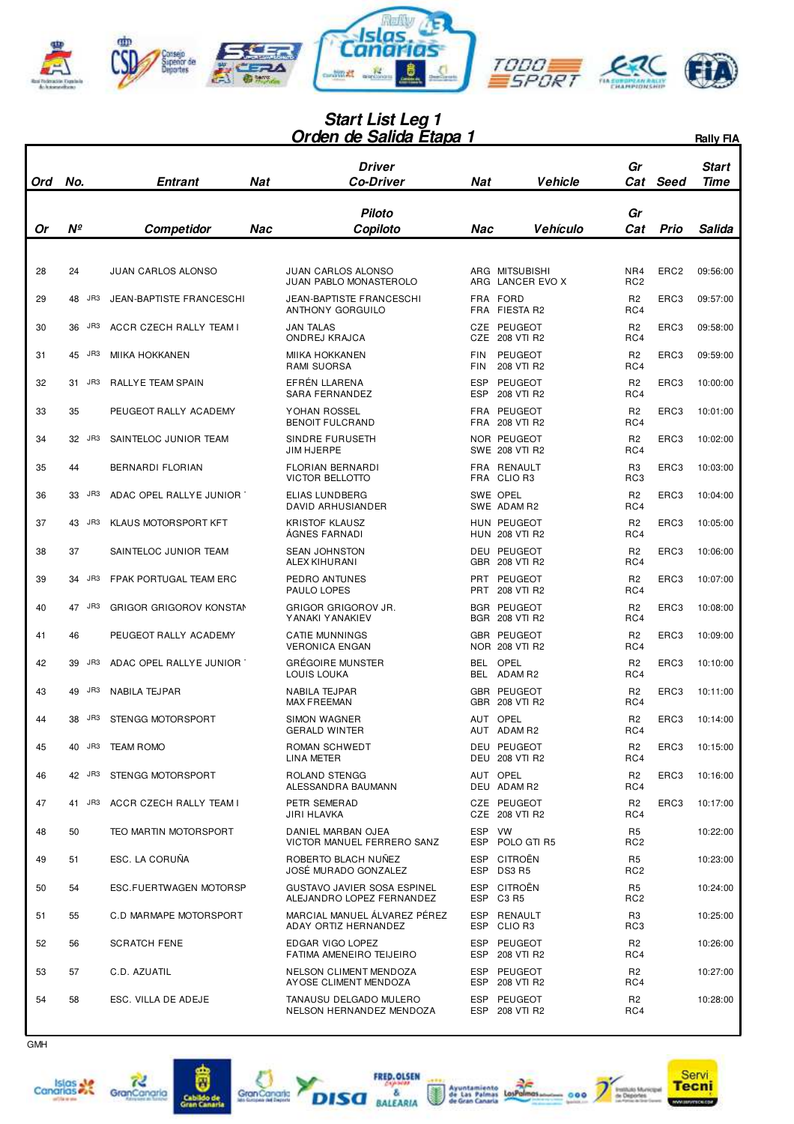

## **Orden de Salida Etapa 1 Start List Leg 1**

|     |           |                                 |            | Orgen ge Saliga Etapa 1                                         |                          |                                      |                                   |                  | <b>Rally FIA</b>     |
|-----|-----------|---------------------------------|------------|-----------------------------------------------------------------|--------------------------|--------------------------------------|-----------------------------------|------------------|----------------------|
| Ord | No.       | Entrant                         | <b>Nat</b> | Driver<br><b>Co-Driver</b>                                      | Nat                      | <b>Vehicle</b>                       | Gr<br>Cat                         | Seed             | Start<br><b>Time</b> |
| Or  | Nº        | Competidor                      | Nac        | <b>Piloto</b><br>Copiloto                                       | Nac                      | Vehículo                             | Gr<br>Cat                         | <b>Prio</b>      | Salida               |
|     |           |                                 |            |                                                                 |                          |                                      |                                   |                  |                      |
| 28  | 24        | <b>JUAN CARLOS ALONSO</b>       |            | <b>JUAN CARLOS ALONSO</b><br>JUAN PABLO MONASTEROLO             |                          | ARG MITSUBISHI<br>ARG LANCER EVO X   | NR4<br>RC <sub>2</sub>            | ERC <sub>2</sub> | 09:56:00             |
| 29  | JR3<br>48 | <b>JEAN-BAPTISTE FRANCESCHI</b> |            | <b>JEAN-BAPTISTE FRANCESCHI</b><br>ANTHONY GORGUILO             | FRA                      | FRA FORD<br>FIESTA R2                | R <sub>2</sub><br>RC4             | ERC3             | 09:57:00             |
| 30  | JR3<br>36 | ACCR CZECH RALLY TEAM I         |            | <b>JAN TALAS</b><br>ONDREJ KRAJCA                               |                          | CZE PEUGEOT<br>CZE 208 VTI R2        | R <sub>2</sub><br>RC4             | ERC3             | 09:58:00             |
| 31  | 45 JR3    | <b>MIIKA HOKKANEN</b>           |            | <b>MIIKA HOKKANEN</b><br>RAMI SUORSA                            | <b>FIN</b><br><b>FIN</b> | PEUGEOT<br>208 VTI R2                | R <sub>2</sub><br>RC4             | ERC3             | 09:59:00             |
| 32  | JR3<br>31 | RALLYE TEAM SPAIN               |            | EFRÉN LLARENA<br>SARA FERNANDEZ                                 | <b>ESP</b><br>ESP        | PEUGEOT<br>208 VTI R2                | R <sub>2</sub><br>RC4             | ERC3             | 10:00:00             |
| 33  | 35        | PEUGEOT RALLY ACADEMY           |            | YOHAN ROSSEL<br><b>BENOIT FULCRAND</b>                          | FRA                      | FRA PEUGEOT<br>208 VTI R2            | R <sub>2</sub><br>RC4             | ERC3             | 10:01:00             |
| 34  | JR3<br>32 | SAINTELOC JUNIOR TEAM           |            | SINDRE FURUSETH<br>JIM HJERPE                                   |                          | NOR PEUGEOT<br>SWE 208 VTI R2        | R <sub>2</sub><br>RC4             | ERC3             | 10:02:00             |
| 35  | 44        | BERNARDI FLORIAN                |            | <b>FLORIAN BERNARDI</b><br>VICTOR BELLOTTO                      |                          | FRA RENAULT<br>FRA CLIO R3           | R <sub>3</sub><br>RC3             | ERC3             | 10:03:00             |
| 36  | JR3<br>33 | ADAC OPEL RALLYE JUNIOR         |            | ELIAS LUNDBERG<br>DAVID ARHUSIANDER                             |                          | SWE OPEL<br>SWE ADAM R2              | R <sub>2</sub><br>RC4             | ERC3             | 10:04:00             |
| 37  | 43 JR3    | KLAUS MOTORSPORT KFT            |            | <b>KRISTOF KLAUSZ</b><br><b>AGNES FARNADI</b>                   |                          | HUN PEUGEOT<br><b>HUN 208 VTI R2</b> | R <sub>2</sub><br>RC4             | ERC3             | 10:05:00             |
| 38  | 37        | SAINTELOC JUNIOR TEAM           |            | <b>SEAN JOHNSTON</b><br>ALEX KIHURANI                           |                          | <b>DEU PEUGEOT</b><br>GBR 208 VTI R2 | R <sub>2</sub><br>RC4             | ERC3             | 10:06:00             |
| 39  | JR3<br>34 | FPAK PORTUGAL TEAM ERC          |            | PEDRO ANTUNES<br>PAULO LOPES                                    | PRT                      | PEUGEOT<br>PRT 208 VTI R2            | R <sub>2</sub><br>RC4             | ERC3             | 10:07:00             |
| 40  | 47 JR3    | <b>GRIGOR GRIGOROV KONSTAN</b>  |            | GRIGOR GRIGOROV JR.<br>YANAKI YANAKIEV                          |                          | <b>BGR PEUGEOT</b><br>BGR 208 VTI R2 | R <sub>2</sub><br>RC4             | ERC3             | 10:08:00             |
| 41  | 46        | PEUGEOT RALLY ACADEMY           |            | <b>CATIE MUNNINGS</b><br><b>VERONICA ENGAN</b>                  |                          | GBR PEUGEOT<br>NOR 208 VTI R2        | R <sub>2</sub><br>RC4             | ERC3             | 10:09:00             |
| 42  | JR3<br>39 | ADAC OPEL RALLYE JUNIOR         |            | <b>GRÉGOIRE MUNSTER</b><br>LOUIS LOUKA                          | BEL                      | OPEL<br>BEL ADAM R2                  | R <sub>2</sub><br>RC4             | ERC3             | 10:10:00             |
| 43  | JR3<br>49 | NABILA TEJPAR                   |            | NABILA TEJPAR<br><b>MAX FREEMAN</b>                             |                          | <b>GBR PEUGEOT</b><br>GBR 208 VTI R2 | R <sub>2</sub><br>RC4             | ERC3             | 10:11:00             |
| 44  | JR3<br>38 | STENGG MOTORSPORT               |            | <b>SIMON WAGNER</b><br>GERALD WINTER                            |                          | AUT OPEL<br>AUT ADAM R2              | R <sub>2</sub><br>RC4             | ERC3             | 10:14:00             |
| 45  | 40 JR3    | <b>TEAM ROMO</b>                |            | ROMAN SCHWEDT<br>LINA METER                                     |                          | DEU PEUGEOT<br><b>DEU 208 VTI R2</b> | R <sub>2</sub><br>RC4             | ERC3             | 10:15:00             |
| 46  | 42 JR3    | STENGG MOTORSPORT               |            | ROLAND STENGG<br>ALESSANDRA BAUMANN                             |                          | AUT OPEL<br>DEU ADAM R2              | R <sub>2</sub><br>RC4             | ERC3             | 10:16:00             |
| 47  | 41 JR3    | ACCR CZECH RALLY TEAM I         |            | PETR SEMERAD<br>JIRI HLAVKA                                     |                          | CZE PEUGEOT<br>CZE 208 VTI R2        | R <sub>2</sub><br>RC4             | ERC3             | 10:17:00             |
| 48  | 50        | TEO MARTIN MOTORSPORT           |            | DANIEL MARBAN OJEA<br>VICTOR MANUEL FERRERO SANZ                | ESP VW                   | ESP POLO GTI R5                      | R <sub>5</sub><br>RC <sub>2</sub> |                  | 10:22:00             |
| 49  | 51        | ESC. LA CORUÑA                  |            | ROBERTO BLACH NUÑEZ<br>JOSÉ MURADO GONZALEZ                     |                          | ESP CITROËN<br>ESP DS3 R5            | R <sub>5</sub><br>RC <sub>2</sub> |                  | 10:23:00             |
| 50  | 54        | ESC.FUERTWAGEN MOTORSP          |            | <b>GUSTAVO JAVIER SOSA ESPINEL</b><br>ALEJANDRO LOPEZ FERNANDEZ |                          | ESP CITROËN<br>ESP C3 R5             | R <sub>5</sub><br>RC <sub>2</sub> |                  | 10:24:00             |
| 51  | 55        | C.D MARMAPE MOTORSPORT          |            | MARCIAL MANUEL ÁLVAREZ PÉREZ<br>ADAY ORTIZ HERNANDEZ            |                          | ESP RENAULT<br>ESP CLIO R3           | R <sub>3</sub><br>RC3             |                  | 10:25:00             |
| 52  | 56        | <b>SCRATCH FENE</b>             |            | EDGAR VIGO LOPEZ<br>FATIMA AMENEIRO TEIJEIRO                    |                          | ESP PEUGEOT<br>ESP 208 VTI R2        | R <sub>2</sub><br>RC4             |                  | 10:26:00             |
| 53  | 57        | C.D. AZUATIL                    |            | NELSON CLIMENT MENDOZA<br>AYOSE CLIMENT MENDOZA                 |                          | ESP PEUGEOT<br>ESP 208 VTI R2        | R <sub>2</sub><br>RC4             |                  | 10:27:00             |
| 54  | 58        | ESC. VILLA DE ADEJE             |            | TANAUSU DELGADO MULERO<br>NELSON HERNANDEZ MENDOZA              | ESP                      | PEUGEOT<br>ESP 208 VTI R2            | R <sub>2</sub><br>RC4             |                  | 10:28:00             |



I





 $\overline{\mathbf{a}}$ 





FRED. OLSEN